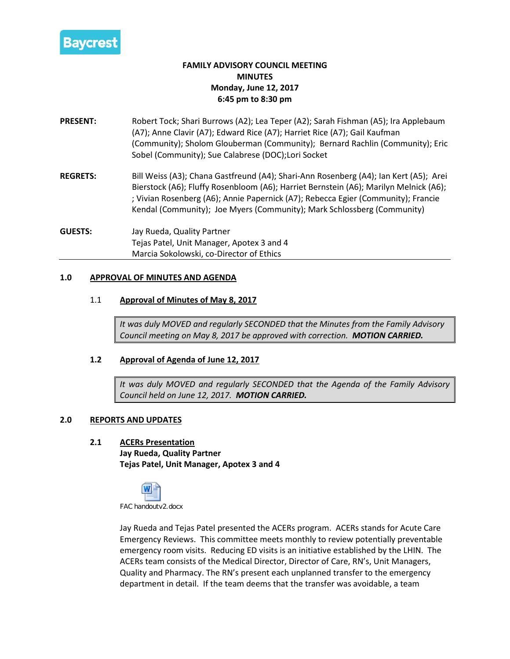

# **FAMILY ADVISORY COUNCIL MEETING MINUTES Monday, June 12, 2017 6:45 pm to 8:30 pm**

- **PRESENT:** Robert Tock; Shari Burrows (A2); Lea Teper (A2); Sarah Fishman (A5); Ira Applebaum (A7); Anne Clavir (A7); Edward Rice (A7); Harriet Rice (A7); Gail Kaufman (Community); Sholom Glouberman (Community); Bernard Rachlin (Community); Eric Sobel (Community); Sue Calabrese (DOC);Lori Socket
- **REGRETS:** Bill Weiss (A3); Chana Gastfreund (A4); Shari-Ann Rosenberg (A4); Ian Kert (A5); Arei Bierstock (A6); Fluffy Rosenbloom (A6); Harriet Bernstein (A6); Marilyn Melnick (A6); ; Vivian Rosenberg (A6); Annie Papernick (A7); Rebecca Egier (Community); Francie Kendal (Community); Joe Myers (Community); Mark Schlossberg (Community)
- **GUESTS:** Jay Rueda, Quality Partner Tejas Patel, Unit Manager, Apotex 3 and 4 Marcia Sokolowski, co-Director of Ethics

### **1.0 APPROVAL OF MINUTES AND AGENDA**

### 1.1 **Approval of Minutes of May 8, 2017**

*It was duly MOVED and regularly SECONDED that the Minutes from the Family Advisory Council meeting on May 8, 2017 be approved with correction. MOTION CARRIED.*

### **1.2 Approval of Agenda of June 12, 2017**

*It was duly MOVED and regularly SECONDED that the Agenda of the Family Advisory Council held on June 12, 2017. MOTION CARRIED.*

#### **2.0 REPORTS AND UPDATES**

**2.1 ACERs Presentation**

**Jay Rueda, Quality Partner Tejas Patel, Unit Manager, Apotex 3 and 4**



Jay Rueda and Tejas Patel presented the ACERs program. ACERs stands for Acute Care Emergency Reviews. This committee meets monthly to review potentially preventable emergency room visits. Reducing ED visits is an initiative established by the LHIN. The ACERs team consists of the Medical Director, Director of Care, RN's, Unit Managers, Quality and Pharmacy. The RN's present each unplanned transfer to the emergency department in detail. If the team deems that the transfer was avoidable, a team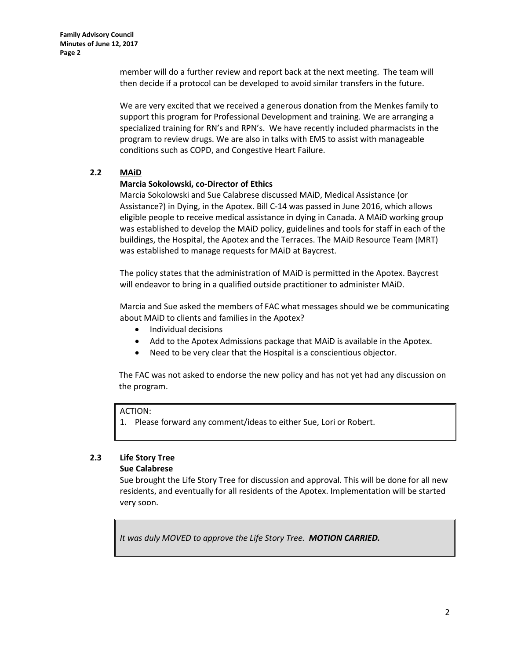member will do a further review and report back at the next meeting. The team will then decide if a protocol can be developed to avoid similar transfers in the future.

We are very excited that we received a generous donation from the Menkes family to support this program for Professional Development and training. We are arranging a specialized training for RN's and RPN's. We have recently included pharmacists in the program to review drugs. We are also in talks with EMS to assist with manageable conditions such as COPD, and Congestive Heart Failure.

### **2.2 MAiD**

### **Marcia Sokolowski, co-Director of Ethics**

Marcia Sokolowski and Sue Calabrese discussed MAiD, Medical Assistance (or Assistance?) in Dying, in the Apotex. Bill C-14 was passed in June 2016, which allows eligible people to receive medical assistance in dying in Canada. A MAiD working group was established to develop the MAiD policy, guidelines and tools for staff in each of the buildings, the Hospital, the Apotex and the Terraces. The MAiD Resource Team (MRT) was established to manage requests for MAiD at Baycrest.

The policy states that the administration of MAiD is permitted in the Apotex. Baycrest will endeavor to bring in a qualified outside practitioner to administer MAiD.

Marcia and Sue asked the members of FAC what messages should we be communicating about MAiD to clients and families in the Apotex?

- Individual decisions
- Add to the Apotex Admissions package that MAiD is available in the Apotex.
- Need to be very clear that the Hospital is a conscientious objector.

The FAC was not asked to endorse the new policy and has not yet had any discussion on the program.

### ACTION:

1. Please forward any comment/ideas to either Sue, Lori or Robert.

# **2.3 Life Story Tree**

### **Sue Calabrese**

Sue brought the Life Story Tree for discussion and approval. This will be done for all new residents, and eventually for all residents of the Apotex. Implementation will be started very soon.

*It was duly MOVED to approve the Life Story Tree. MOTION CARRIED.*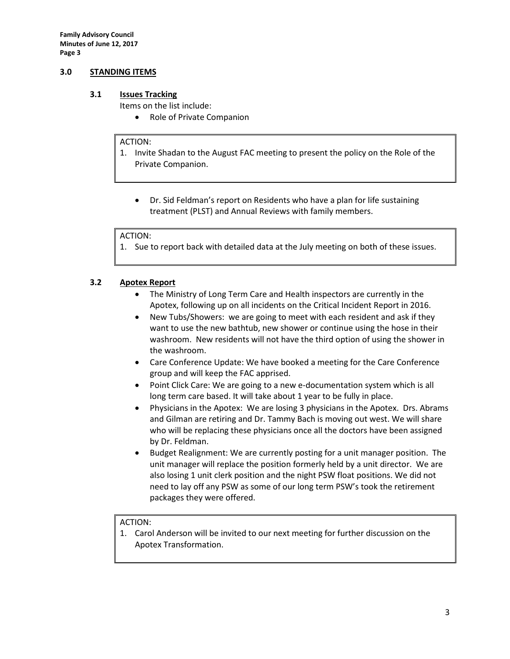**Family Advisory Council Minutes of June 12, 2017 Page 3**

### **3.0 STANDING ITEMS**

### **3.1 Issues Tracking**

Items on the list include:

• Role of Private Companion

#### ACTION:

- 1. Invite Shadan to the August FAC meeting to present the policy on the Role of the Private Companion.
	- Dr. Sid Feldman's report on Residents who have a plan for life sustaining treatment (PLST) and Annual Reviews with family members.

#### ACTION:

1. Sue to report back with detailed data at the July meeting on both of these issues.

### **3.2 Apotex Report**

- The Ministry of Long Term Care and Health inspectors are currently in the Apotex, following up on all incidents on the Critical Incident Report in 2016.
- New Tubs/Showers: we are going to meet with each resident and ask if they want to use the new bathtub, new shower or continue using the hose in their washroom. New residents will not have the third option of using the shower in the washroom.
- Care Conference Update: We have booked a meeting for the Care Conference group and will keep the FAC apprised.
- Point Click Care: We are going to a new e-documentation system which is all long term care based. It will take about 1 year to be fully in place.
- Physicians in the Apotex: We are losing 3 physicians in the Apotex. Drs. Abrams and Gilman are retiring and Dr. Tammy Bach is moving out west. We will share who will be replacing these physicians once all the doctors have been assigned by Dr. Feldman.
- Budget Realignment: We are currently posting for a unit manager position. The unit manager will replace the position formerly held by a unit director. We are also losing 1 unit clerk position and the night PSW float positions. We did not need to lay off any PSW as some of our long term PSW's took the retirement packages they were offered.

#### ACTION:

1. Carol Anderson will be invited to our next meeting for further discussion on the Apotex Transformation.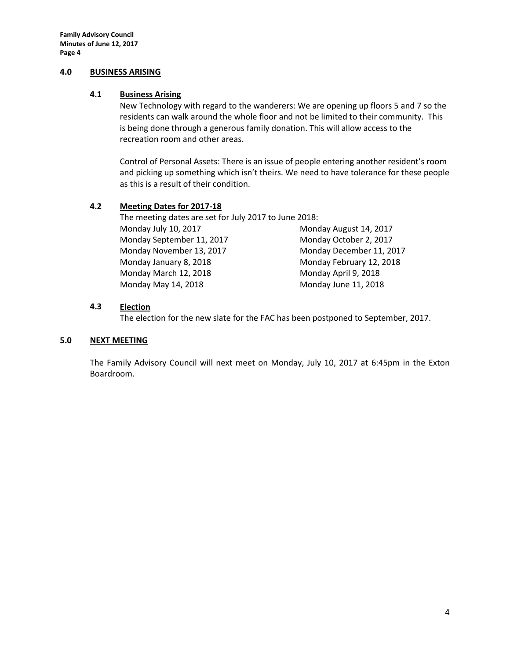#### **4.0 BUSINESS ARISING**

### **4.1 Business Arising**

New Technology with regard to the wanderers: We are opening up floors 5 and 7 so the residents can walk around the whole floor and not be limited to their community. This is being done through a generous family donation. This will allow access to the recreation room and other areas.

Control of Personal Assets: There is an issue of people entering another resident's room and picking up something which isn't theirs. We need to have tolerance for these people as this is a result of their condition.

### **4.2 Meeting Dates for 2017-18**

The meeting dates are set for July 2017 to June 2018: Monday July 10, 2017 Monday August 14, 2017 Monday September 11, 2017 Monday October 2, 2017 Monday November 13, 2017 Monday December 11, 2017 Monday January 8, 2018 Monday February 12, 2018 Monday March 12, 2018 Monday April 9, 2018 Monday May 14, 2018 Monday June 11, 2018

### **4.3 Election**

The election for the new slate for the FAC has been postponed to September, 2017.

### **5.0 NEXT MEETING**

The Family Advisory Council will next meet on Monday, July 10, 2017 at 6:45pm in the Exton Boardroom.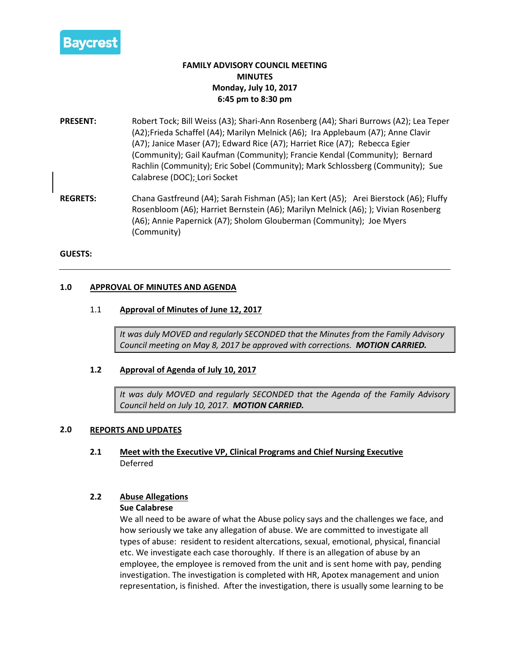

# **FAMILY ADVISORY COUNCIL MEETING MINUTES Monday, July 10, 2017 6:45 pm to 8:30 pm**

- **PRESENT:** Robert Tock; Bill Weiss (A3); Shari-Ann Rosenberg (A4); Shari Burrows (A2); Lea Teper (A2);Frieda Schaffel (A4); Marilyn Melnick (A6); Ira Applebaum (A7); Anne Clavir (A7); Janice Maser (A7); Edward Rice (A7); Harriet Rice (A7); Rebecca Egier (Community); Gail Kaufman (Community); Francie Kendal (Community); Bernard Rachlin (Community); Eric Sobel (Community); Mark Schlossberg (Community); Sue Calabrese (DOC); Lori Socket
- **REGRETS:** Chana Gastfreund (A4); Sarah Fishman (A5); Ian Kert (A5); Arei Bierstock (A6); Fluffy Rosenbloom (A6); Harriet Bernstein (A6); Marilyn Melnick (A6); ); Vivian Rosenberg (A6); Annie Papernick (A7); Sholom Glouberman (Community); Joe Myers (Community)

#### **GUESTS:**

### **1.0 APPROVAL OF MINUTES AND AGENDA**

### 1.1 **Approval of Minutes of June 12, 2017**

*It was duly MOVED and regularly SECONDED that the Minutes from the Family Advisory Council meeting on May 8, 2017 be approved with corrections. MOTION CARRIED.*

#### **1.2 Approval of Agenda of July 10, 2017**

*It was duly MOVED and regularly SECONDED that the Agenda of the Family Advisory Council held on July 10, 2017. MOTION CARRIED.*

#### **2.0 REPORTS AND UPDATES**

**2.1 Meet with the Executive VP, Clinical Programs and Chief Nursing Executive** Deferred

### **2.2 Abuse Allegations**

#### **Sue Calabrese**

We all need to be aware of what the Abuse policy says and the challenges we face, and how seriously we take any allegation of abuse. We are committed to investigate all types of abuse: resident to resident altercations, sexual, emotional, physical, financial etc. We investigate each case thoroughly. If there is an allegation of abuse by an employee, the employee is removed from the unit and is sent home with pay, pending investigation. The investigation is completed with HR, Apotex management and union representation, is finished. After the investigation, there is usually some learning to be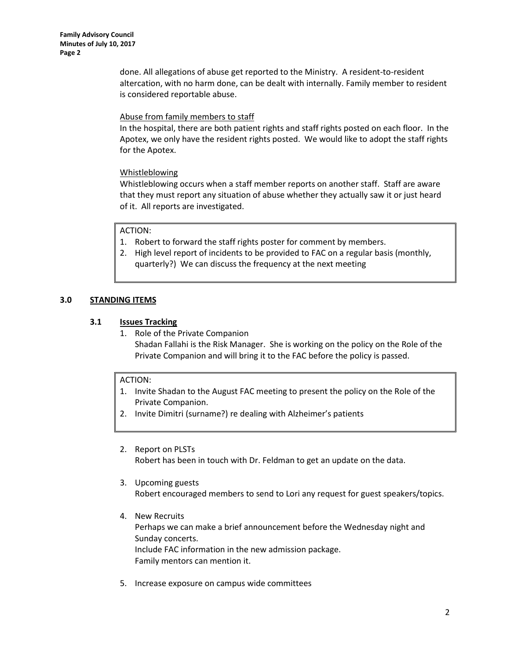done. All allegations of abuse get reported to the Ministry. A resident-to-resident altercation, with no harm done, can be dealt with internally. Family member to resident is considered reportable abuse.

### Abuse from family members to staff

In the hospital, there are both patient rights and staff rights posted on each floor. In the Apotex, we only have the resident rights posted. We would like to adopt the staff rights for the Apotex.

### Whistleblowing

Whistleblowing occurs when a staff member reports on another staff. Staff are aware that they must report any situation of abuse whether they actually saw it or just heard of it. All reports are investigated.

### ACTION:

- 1. Robert to forward the staff rights poster for comment by members.
- 2. High level report of incidents to be provided to FAC on a regular basis (monthly, quarterly?) We can discuss the frequency at the next meeting

### **3.0 STANDING ITEMS**

### **3.1 Issues Tracking**

1. Role of the Private Companion Shadan Fallahi is the Risk Manager. She is working on the policy on the Role of the Private Companion and will bring it to the FAC before the policy is passed.

### ACTION:

- 1. Invite Shadan to the August FAC meeting to present the policy on the Role of the Private Companion.
- 2. Invite Dimitri (surname?) re dealing with Alzheimer's patients
- 2. Report on PLSTs Robert has been in touch with Dr. Feldman to get an update on the data.
- 3. Upcoming guests Robert encouraged members to send to Lori any request for guest speakers/topics.
- 4. New Recruits Perhaps we can make a brief announcement before the Wednesday night and Sunday concerts. Include FAC information in the new admission package. Family mentors can mention it.
- 5. Increase exposure on campus wide committees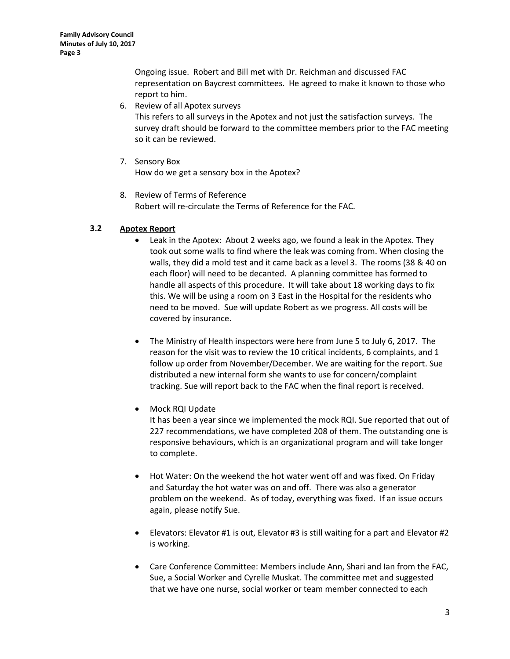Ongoing issue. Robert and Bill met with Dr. Reichman and discussed FAC representation on Baycrest committees. He agreed to make it known to those who report to him.

6. Review of all Apotex surveys

This refers to all surveys in the Apotex and not just the satisfaction surveys. The survey draft should be forward to the committee members prior to the FAC meeting so it can be reviewed.

- 7. Sensory Box How do we get a sensory box in the Apotex?
- 8. Review of Terms of Reference Robert will re-circulate the Terms of Reference for the FAC.

### **3.2 Apotex Report**

- Leak in the Apotex: About 2 weeks ago, we found a leak in the Apotex. They took out some walls to find where the leak was coming from. When closing the walls, they did a mold test and it came back as a level 3. The rooms (38 & 40 on each floor) will need to be decanted. A planning committee has formed to handle all aspects of this procedure. It will take about 18 working days to fix this. We will be using a room on 3 East in the Hospital for the residents who need to be moved. Sue will update Robert as we progress. All costs will be covered by insurance.
- The Ministry of Health inspectors were here from June 5 to July 6, 2017. The reason for the visit was to review the 10 critical incidents, 6 complaints, and 1 follow up order from November/December. We are waiting for the report. Sue distributed a new internal form she wants to use for concern/complaint tracking. Sue will report back to the FAC when the final report is received.
- Mock RQI Update

It has been a year since we implemented the mock RQI. Sue reported that out of 227 recommendations, we have completed 208 of them. The outstanding one is responsive behaviours, which is an organizational program and will take longer to complete.

- Hot Water: On the weekend the hot water went off and was fixed. On Friday and Saturday the hot water was on and off. There was also a generator problem on the weekend. As of today, everything was fixed. If an issue occurs again, please notify Sue.
- Elevators: Elevator #1 is out, Elevator #3 is still waiting for a part and Elevator #2 is working.
- Care Conference Committee: Members include Ann, Shari and Ian from the FAC, Sue, a Social Worker and Cyrelle Muskat. The committee met and suggested that we have one nurse, social worker or team member connected to each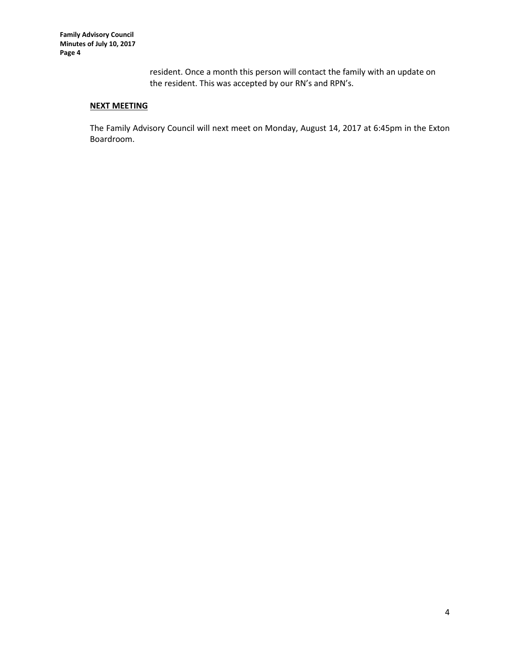resident. Once a month this person will contact the family with an update on the resident. This was accepted by our RN's and RPN's.

# **NEXT MEETING**

The Family Advisory Council will next meet on Monday, August 14, 2017 at 6:45pm in the Exton Boardroom.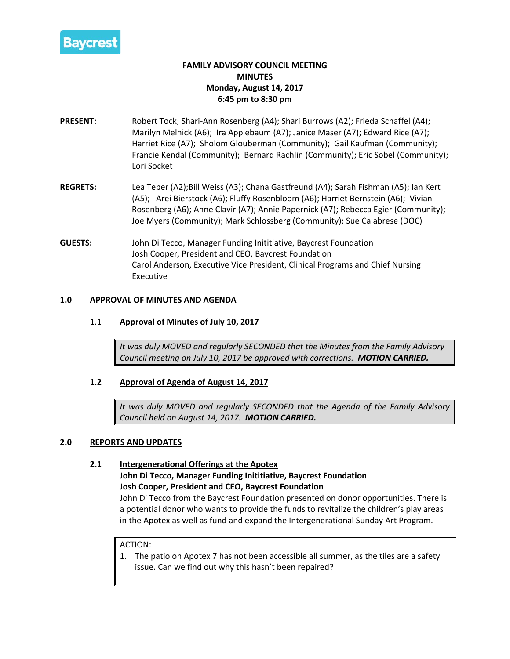

# **FAMILY ADVISORY COUNCIL MEETING MINUTES Monday, August 14, 2017 6:45 pm to 8:30 pm**

- **PRESENT:** Robert Tock; Shari-Ann Rosenberg (A4); Shari Burrows (A2); Frieda Schaffel (A4); Marilyn Melnick (A6); Ira Applebaum (A7); Janice Maser (A7); Edward Rice (A7); Harriet Rice (A7); Sholom Glouberman (Community); Gail Kaufman (Community); Francie Kendal (Community); Bernard Rachlin (Community); Eric Sobel (Community); Lori Socket
- **REGRETS:** Lea Teper (A2);Bill Weiss (A3); Chana Gastfreund (A4); Sarah Fishman (A5); Ian Kert (A5); Arei Bierstock (A6); Fluffy Rosenbloom (A6); Harriet Bernstein (A6); Vivian Rosenberg (A6); Anne Clavir (A7); Annie Papernick (A7); Rebecca Egier (Community); Joe Myers (Community); Mark Schlossberg (Community); Sue Calabrese (DOC)
- **GUESTS:** John Di Tecco, Manager Funding Inititiative, Baycrest Foundation Josh Cooper, President and CEO, Baycrest Foundation Carol Anderson, Executive Vice President, Clinical Programs and Chief Nursing Executive

### **1.0 APPROVAL OF MINUTES AND AGENDA**

### 1.1 **Approval of Minutes of July 10, 2017**

*It was duly MOVED and regularly SECONDED that the Minutes from the Family Advisory Council meeting on July 10, 2017 be approved with corrections. MOTION CARRIED.*

### **1.2 Approval of Agenda of August 14, 2017**

*It was duly MOVED and regularly SECONDED that the Agenda of the Family Advisory Council held on August 14, 2017. MOTION CARRIED.*

### **2.0 REPORTS AND UPDATES**

### **2.1 Intergenerational Offerings at the Apotex**

**John Di Tecco, Manager Funding Inititiative, Baycrest Foundation Josh Cooper, President and CEO, Baycrest Foundation**

John Di Tecco from the Baycrest Foundation presented on donor opportunities. There is a potential donor who wants to provide the funds to revitalize the children's play areas in the Apotex as well as fund and expand the Intergenerational Sunday Art Program.

#### ACTION:

1. The patio on Apotex 7 has not been accessible all summer, as the tiles are a safety issue. Can we find out why this hasn't been repaired?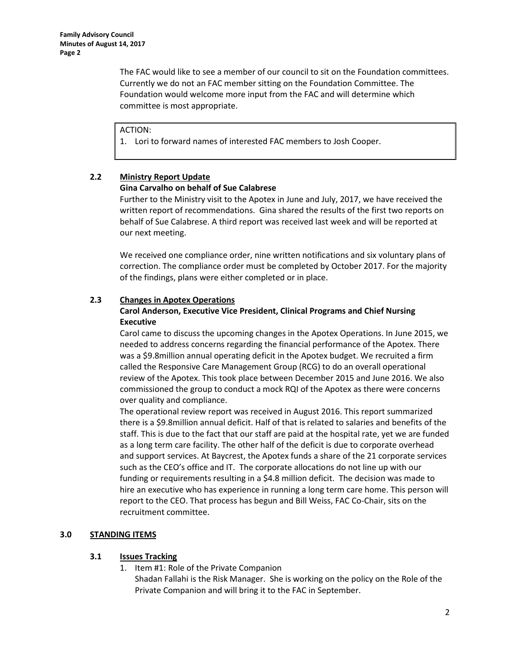The FAC would like to see a member of our council to sit on the Foundation committees. Currently we do not an FAC member sitting on the Foundation Committee. The Foundation would welcome more input from the FAC and will determine which committee is most appropriate.

ACTION:

1. Lori to forward names of interested FAC members to Josh Cooper.

# **2.2 Ministry Report Update**

### **Gina Carvalho on behalf of Sue Calabrese**

Further to the Ministry visit to the Apotex in June and July, 2017, we have received the written report of recommendations. Gina shared the results of the first two reports on behalf of Sue Calabrese. A third report was received last week and will be reported at our next meeting.

We received one compliance order, nine written notifications and six voluntary plans of correction. The compliance order must be completed by October 2017. For the majority of the findings, plans were either completed or in place.

### **2.3 Changes in Apotex Operations**

### **Carol Anderson, Executive Vice President, Clinical Programs and Chief Nursing Executive**

Carol came to discuss the upcoming changes in the Apotex Operations. In June 2015, we needed to address concerns regarding the financial performance of the Apotex. There was a \$9.8million annual operating deficit in the Apotex budget. We recruited a firm called the Responsive Care Management Group (RCG) to do an overall operational review of the Apotex. This took place between December 2015 and June 2016. We also commissioned the group to conduct a mock RQI of the Apotex as there were concerns over quality and compliance.

The operational review report was received in August 2016. This report summarized there is a \$9.8million annual deficit. Half of that is related to salaries and benefits of the staff. This is due to the fact that our staff are paid at the hospital rate, yet we are funded as a long term care facility. The other half of the deficit is due to corporate overhead and support services. At Baycrest, the Apotex funds a share of the 21 corporate services such as the CEO's office and IT. The corporate allocations do not line up with our funding or requirements resulting in a \$4.8 million deficit. The decision was made to hire an executive who has experience in running a long term care home. This person will report to the CEO. That process has begun and Bill Weiss, FAC Co-Chair, sits on the recruitment committee.

### **3.0 STANDING ITEMS**

### **3.1 Issues Tracking**

1. Item #1: Role of the Private Companion

Shadan Fallahi is the Risk Manager. She is working on the policy on the Role of the Private Companion and will bring it to the FAC in September.